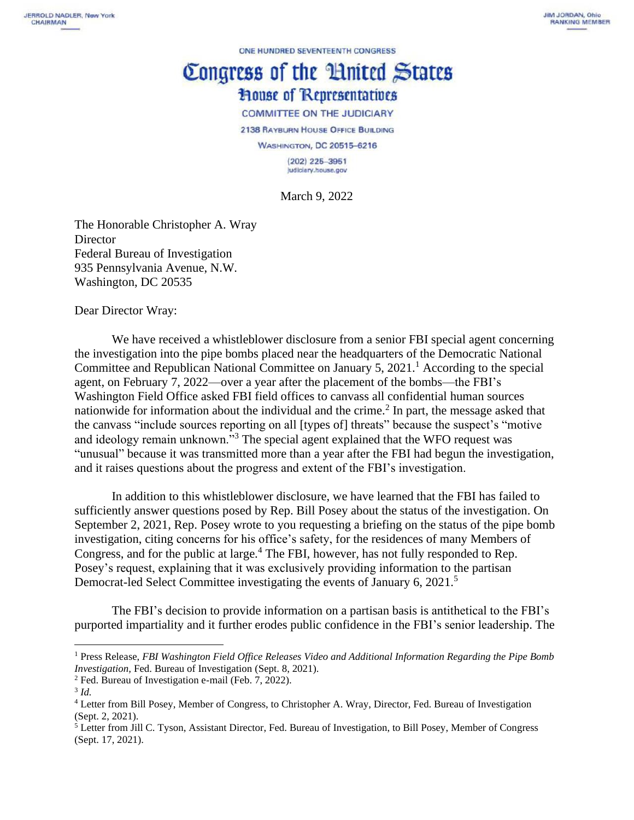ONE HUNDRED SEVENTEENTH CONGRESS

## Congress of the Huited States **House of Representatives**

**COMMITTEE ON THE JUDICIARY** 

2138 RAYBURN HOUSE OFFICE BUILDING

**WASHINGTON, DC 20515-6216** 

 $(202)$  225-3951 Judiciary.house.gov

March 9, 2022

The Honorable Christopher A. Wray **Director** Federal Bureau of Investigation 935 Pennsylvania Avenue, N.W. Washington, DC 20535

Dear Director Wray:

We have received a whistleblower disclosure from a senior FBI special agent concerning the investigation into the pipe bombs placed near the headquarters of the Democratic National Committee and Republican National Committee on January 5,  $2021<sup>1</sup>$  According to the special agent, on February 7, 2022—over a year after the placement of the bombs—the FBI's Washington Field Office asked FBI field offices to canvass all confidential human sources nationwide for information about the individual and the crime. 2 In part, the message asked that the canvass "include sources reporting on all [types of] threats" because the suspect's "motive and ideology remain unknown."<sup>3</sup> The special agent explained that the WFO request was "unusual" because it was transmitted more than a year after the FBI had begun the investigation, and it raises questions about the progress and extent of the FBI's investigation.

In addition to this whistleblower disclosure, we have learned that the FBI has failed to sufficiently answer questions posed by Rep. Bill Posey about the status of the investigation. On September 2, 2021, Rep. Posey wrote to you requesting a briefing on the status of the pipe bomb investigation, citing concerns for his office's safety, for the residences of many Members of Congress, and for the public at large. <sup>4</sup> The FBI, however, has not fully responded to Rep. Posey's request, explaining that it was exclusively providing information to the partisan Democrat-led Select Committee investigating the events of January 6, 2021.<sup>5</sup>

The FBI's decision to provide information on a partisan basis is antithetical to the FBI's purported impartiality and it further erodes public confidence in the FBI's senior leadership. The

<sup>1</sup> Press Release, *FBI Washington Field Office Releases Video and Additional Information Regarding the Pipe Bomb Investigation, Fed. Bureau of Investigation (Sept. 8, 2021).* 

<sup>2</sup> Fed. Bureau of Investigation e-mail (Feb. 7, 2022).

<sup>3</sup> *Id.*

<sup>4</sup> Letter from Bill Posey, Member of Congress, to Christopher A. Wray, Director, Fed. Bureau of Investigation (Sept. 2, 2021).

<sup>5</sup> Letter from Jill C. Tyson, Assistant Director, Fed. Bureau of Investigation, to Bill Posey, Member of Congress (Sept. 17, 2021).